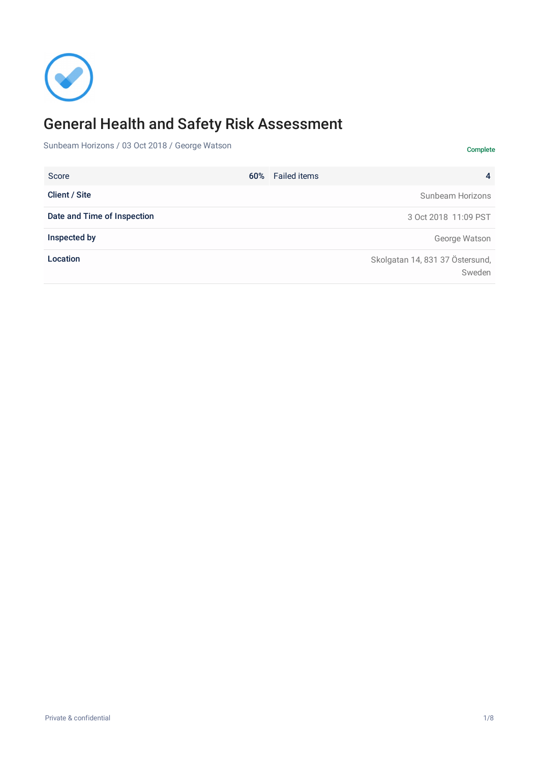

# General Health and Safety Risk Assessment

Sunbeam Horizons / 03 Oct 2018 / George Watson

60% 4 Score Failed items **Client / Site** Sunbeam Horizons Date and Time of Inspection 3 Oct 2018 11:09 PST **Inspected by** George Watson Location Skolgatan 14, 831 37 Östersund, Sweden

Complete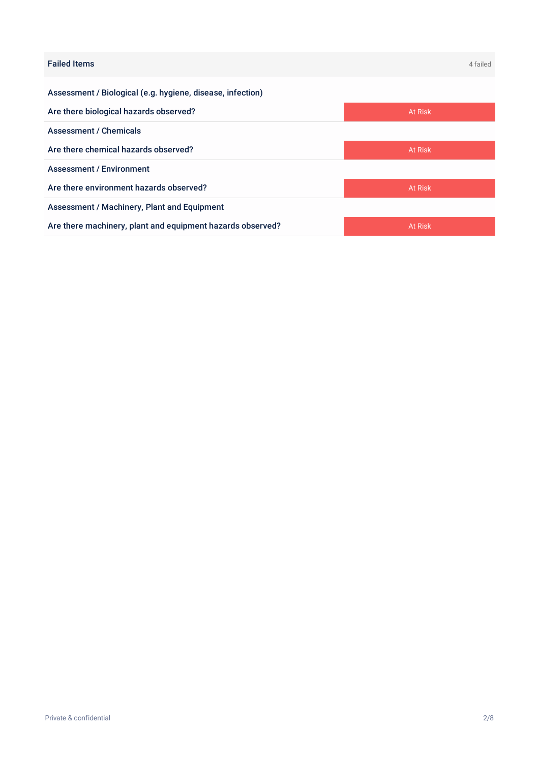| <b>Failed Items</b>                                        | 4 failed |
|------------------------------------------------------------|----------|
| Assessment / Biological (e.g. hygiene, disease, infection) |          |
| Are there biological hazards observed?                     | At Risk  |
| <b>Assessment / Chemicals</b>                              |          |
| Are there chemical hazards observed?                       | At Risk  |
| <b>Assessment / Environment</b>                            |          |
| Are there environment hazards observed?                    | At Risk  |
| Assessment / Machinery, Plant and Equipment                |          |
| Are there machinery, plant and equipment hazards observed? | At Risk  |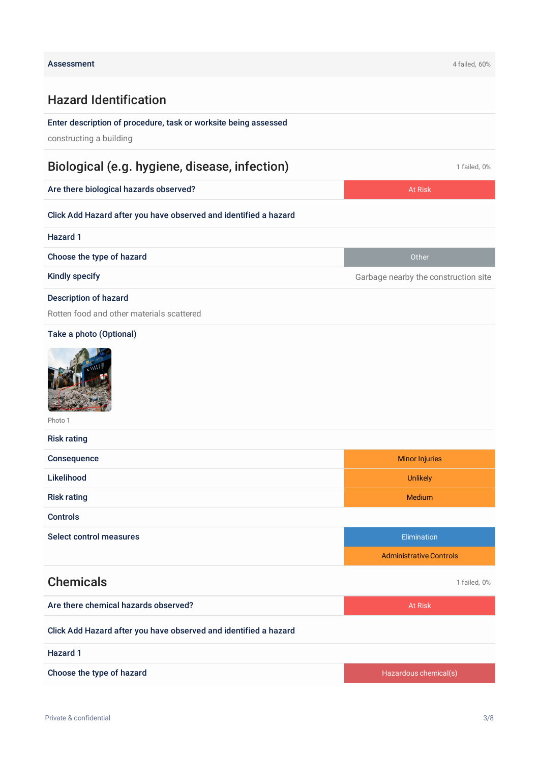## Hazard Identification

## Enter description of procedure, task or worksite being assessed

constructing a building

## Biological (e.g. hygiene, disease, infection) and the contraction of the 1 failed, 0%

Are there biological hazards observed? At Risk and At Risk and At Risk and At Risk and At Risk

#### Click Add Hazard after you have observed and identified a hazard

| Hazard 1                                  |                                      |
|-------------------------------------------|--------------------------------------|
| Choose the type of hazard                 | Other                                |
| Kindly specify                            | Garbage nearby the construction site |
| <b>Description of hazard</b>              |                                      |
| Rotten food and other materials scattered |                                      |
|                                           |                                      |

#### Take a photo (Optional)



Photo 1

| <b>Risk rating</b> |                       |
|--------------------|-----------------------|
| Consequence        | <b>Minor Injuries</b> |
| Likelihood         | <b>Unlikely</b>       |
| <b>Risk rating</b> | <b>Medium</b>         |
| Controls           |                       |

Select control measures Elimination and the select control measures Elimination and the select control measures

|                                                                  | <b>Administrative Controls</b> |  |
|------------------------------------------------------------------|--------------------------------|--|
| <b>Chemicals</b>                                                 | 1 failed, 0%                   |  |
| Are there chemical hazards observed?                             | At Risk                        |  |
| Click Add Hazard after you have observed and identified a hazard |                                |  |
| Hazard 1                                                         |                                |  |

Choose the type of hazard **Exercise 2018** Choose the type of hazardous chemical(s)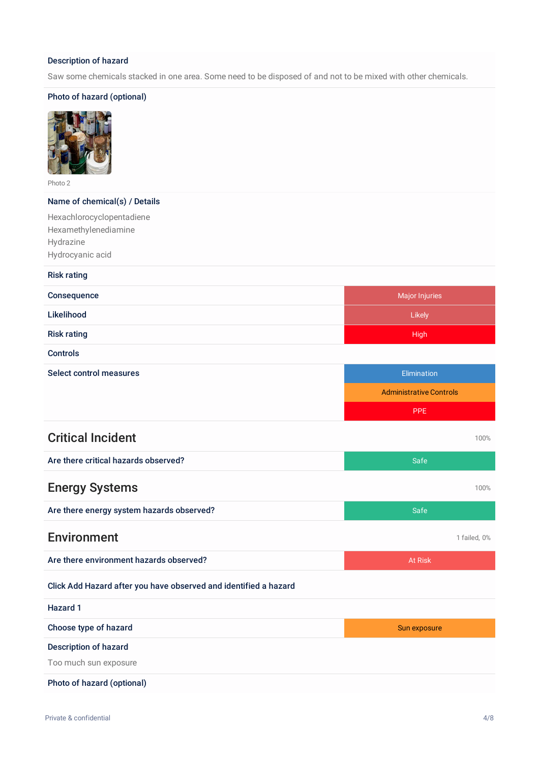#### Description of hazard

Saw some chemicals stacked in one area. Some need to be disposed of and not to be mixed with other chemicals.

#### Photo of hazard (optional)



Photo 2

#### Name of chemical(s) / Details

Hexachlorocyclopentadiene Hexamethylenediamine Hydrazine Hydrocyanic acid

#### Risk rating

| Consequence                                                      | <b>Major Injuries</b>          |  |
|------------------------------------------------------------------|--------------------------------|--|
| Likelihood                                                       | Likely                         |  |
| <b>Risk rating</b>                                               | <b>High</b>                    |  |
| <b>Controls</b>                                                  |                                |  |
| <b>Select control measures</b>                                   | Elimination                    |  |
|                                                                  | <b>Administrative Controls</b> |  |
|                                                                  | <b>PPE</b>                     |  |
| <b>Critical Incident</b>                                         | 100%                           |  |
| Are there critical hazards observed?                             | Safe                           |  |
| <b>Energy Systems</b>                                            | 100%                           |  |
| Are there energy system hazards observed?                        | Safe                           |  |
| <b>Environment</b>                                               | 1 failed, 0%                   |  |
| Are there environment hazards observed?                          | <b>At Risk</b>                 |  |
| Click Add Hazard after you have observed and identified a hazard |                                |  |
| <b>Hazard 1</b>                                                  |                                |  |
| Choose type of hazard                                            | Sun exposure                   |  |
| Description of hazard<br>Too much sun exposure                   |                                |  |
| Photo of hazard (optional)                                       |                                |  |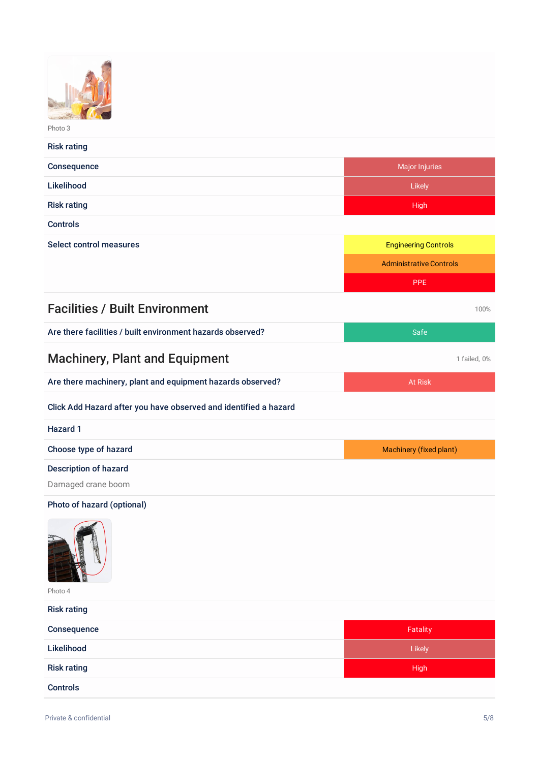| Photo 3 |
|---------|

| <b>Risk rating</b>                                               |                                |  |  |
|------------------------------------------------------------------|--------------------------------|--|--|
| Consequence                                                      | <b>Major Injuries</b>          |  |  |
| Likelihood                                                       | Likely                         |  |  |
| <b>Risk rating</b>                                               | High                           |  |  |
| <b>Controls</b>                                                  |                                |  |  |
| <b>Select control measures</b>                                   | <b>Engineering Controls</b>    |  |  |
|                                                                  | <b>Administrative Controls</b> |  |  |
|                                                                  | <b>PPE</b>                     |  |  |
| <b>Facilities / Built Environment</b>                            | 100%                           |  |  |
| Are there facilities / built environment hazards observed?       | Safe                           |  |  |
| <b>Machinery, Plant and Equipment</b>                            | 1 failed, 0%                   |  |  |
| Are there machinery, plant and equipment hazards observed?       | <b>At Risk</b>                 |  |  |
| Click Add Hazard after you have observed and identified a hazard |                                |  |  |
| <b>Hazard 1</b>                                                  |                                |  |  |
| Choose type of hazard                                            | Machinery (fixed plant)        |  |  |
| <b>Description of hazard</b>                                     |                                |  |  |
| Damaged crane boom                                               |                                |  |  |
| Photo of hazard (optional)                                       |                                |  |  |
| À<br>Photo 4                                                     |                                |  |  |
| <b>Risk rating</b>                                               |                                |  |  |
| Consequence                                                      | Fatality                       |  |  |
| Likelihood                                                       | Likely                         |  |  |
| <b>Risk rating</b>                                               | <b>High</b>                    |  |  |

Controls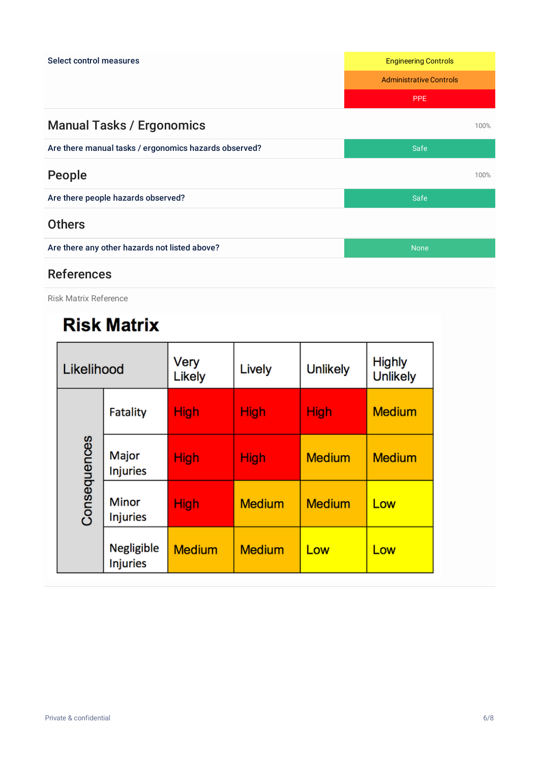

## References

Risk Matrix Reference

# **Risk Matrix**

| Likelihood   |                                      | Very<br>Likely | Lively        | <b>Unlikely</b> | <b>Highly</b><br><b>Unlikely</b> |
|--------------|--------------------------------------|----------------|---------------|-----------------|----------------------------------|
| Consequences | <b>Fatality</b>                      | <b>High</b>    | <b>High</b>   | <b>High</b>     | <b>Medium</b>                    |
|              | Major<br><b>Injuries</b>             | <b>High</b>    | <b>High</b>   | <b>Medium</b>   | <b>Medium</b>                    |
|              | <b>Minor</b><br><b>Injuries</b>      | <b>High</b>    | <b>Medium</b> | <b>Medium</b>   | Low                              |
|              | <b>Negligible</b><br><b>Injuries</b> | <b>Medium</b>  | <b>Medium</b> | Low             | Low                              |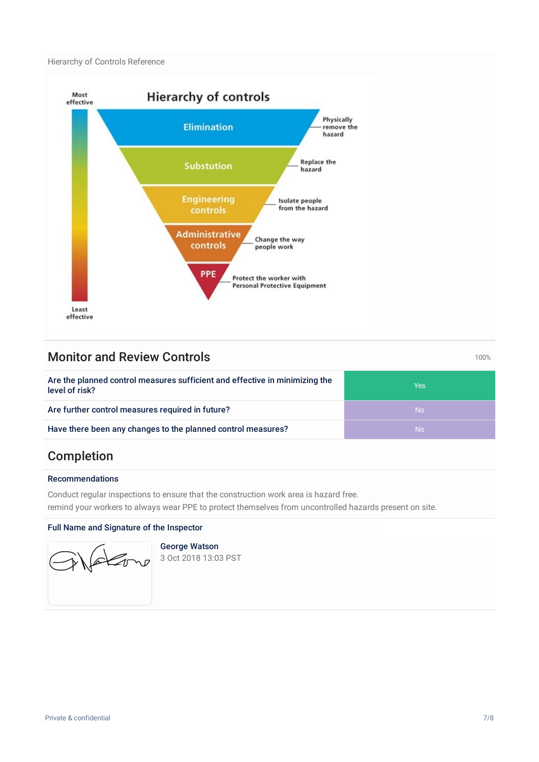Hierarchy of Controls Reference



## **Monitor and Review Controls 100%** 100%

Are the planned control measures sufficient and effective in minimizing the level of risk? Yes Are further control measures required in future? Are further control measures required in future? Have there been any changes to the planned control measures? No wave there is no wave No

## Completion

#### Recommendations

Conduct regular inspections to ensure that the construction work area is hazard free. remind your workers to always wear PPE to protect themselves from uncontrolled hazards present on site.

#### Full Name and Signature of the Inspector



George Watson

3 Oct 2018 13:03 PST